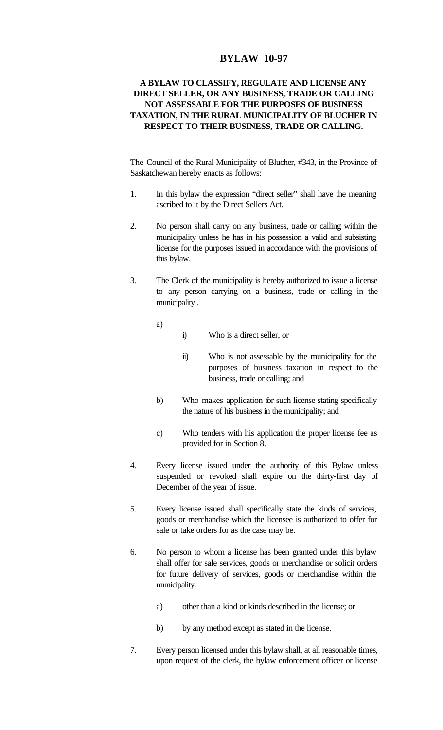## **BYLAW 10-97**

## **A BYLAW TO CLASSIFY, REGULATE AND LICENSE ANY DIRECT SELLER, OR ANY BUSINESS, TRADE OR CALLING NOT ASSESSABLE FOR THE PURPOSES OF BUSINESS TAXATION, IN THE RURAL MUNICIPALITY OF BLUCHER IN RESPECT TO THEIR BUSINESS, TRADE OR CALLING.**

The Council of the Rural Municipality of Blucher, #343, in the Province of Saskatchewan hereby enacts as follows:

- 1. In this bylaw the expression "direct seller" shall have the meaning ascribed to it by the Direct Sellers Act.
- 2. No person shall carry on any business, trade or calling within the municipality unless he has in his possession a valid and subsisting license for the purposes issued in accordance with the provisions of this bylaw.
- 3. The Clerk of the municipality is hereby authorized to issue a license to any person carrying on a business, trade or calling in the municipality .
	- a)
- i) Who is a direct seller, or
- ii) Who is not assessable by the municipality for the purposes of business taxation in respect to the business, trade or calling; and
- b) Who makes application for such license stating specifically the nature of his business in the municipality; and
- c) Who tenders with his application the proper license fee as provided for in Section 8.
- 4. Every license issued under the authority of this Bylaw unless suspended or revoked shall expire on the thirty-first day of December of the year of issue.
- 5. Every license issued shall specifically state the kinds of services, goods or merchandise which the licensee is authorized to offer for sale or take orders for as the case may be.
- 6. No person to whom a license has been granted under this bylaw shall offer for sale services, goods or merchandise or solicit orders for future delivery of services, goods or merchandise within the municipality.
	- a) other than a kind or kinds described in the license; or
	- b) by any method except as stated in the license.
- 7. Every person licensed under this bylaw shall, at all reasonable times, upon request of the clerk, the bylaw enforcement officer or license